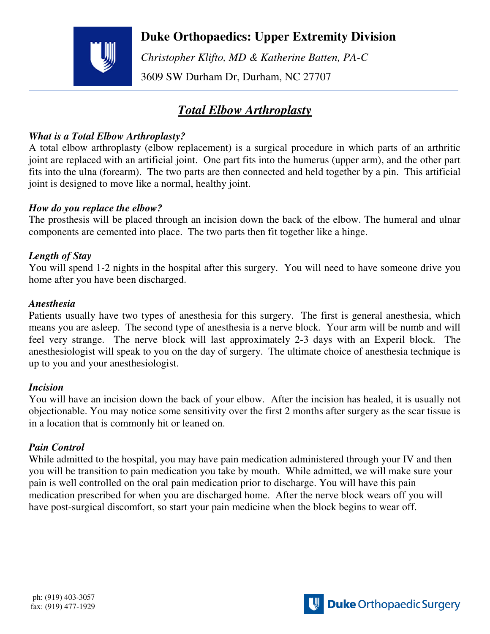# **Duke Orthopaedics: Upper Extremity Division**

 *Christopher Klifto, MD & Katherine Batten, PA-C*  3609 SW Durham Dr, Durham, NC 27707

# *Total Elbow Arthroplasty*

## *What is a Total Elbow Arthroplasty?*

A total elbow arthroplasty (elbow replacement) is a surgical procedure in which parts of an arthritic joint are replaced with an artificial joint. One part fits into the humerus (upper arm), and the other part fits into the ulna (forearm). The two parts are then connected and held together by a pin. This artificial joint is designed to move like a normal, healthy joint.

### *How do you replace the elbow?*

The prosthesis will be placed through an incision down the back of the elbow. The humeral and ulnar components are cemented into place. The two parts then fit together like a hinge.

### *Length of Stay*

You will spend 1-2 nights in the hospital after this surgery. You will need to have someone drive you home after you have been discharged.

#### *Anesthesia*

Patients usually have two types of anesthesia for this surgery. The first is general anesthesia, which means you are asleep. The second type of anesthesia is a nerve block. Your arm will be numb and will feel very strange. The nerve block will last approximately 2-3 days with an Experil block. The anesthesiologist will speak to you on the day of surgery. The ultimate choice of anesthesia technique is up to you and your anesthesiologist.

#### *Incision*

You will have an incision down the back of your elbow. After the incision has healed, it is usually not objectionable. You may notice some sensitivity over the first 2 months after surgery as the scar tissue is in a location that is commonly hit or leaned on.

### *Pain Control*

While admitted to the hospital, you may have pain medication administered through your IV and then you will be transition to pain medication you take by mouth. While admitted, we will make sure your pain is well controlled on the oral pain medication prior to discharge. You will have this pain medication prescribed for when you are discharged home. After the nerve block wears off you will have post-surgical discomfort, so start your pain medicine when the block begins to wear off.